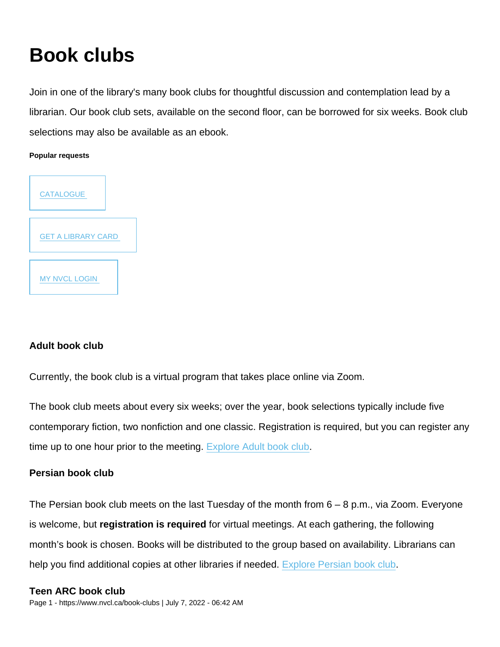# Book clubs

Join in one of the library's many book clubs for thoughtful discussion and contemplation lead by a librarian. Our book club sets, available on the second floor, can be borrowed for six weeks. Book club selections may also be available as an ebook.

Popular requests



# Adult book club

Currently, the book club is a virtual program that takes place online via Zoom.

The book club meets about every six weeks; over the year, book selections typically include five contemporary fiction, two nonfiction and one classic. Registration is required, but you can register any time up to one hour prior to the meeting. [Explore Adult book club.](https://www.nvcl.ca/node/54)

# Persian book club

The Persian book club meets on the last Tuesday of the month from 6 – 8 p.m., via Zoom. Everyone is welcome, but registration is required for virtual meetings. At each gathering, the following month's book is chosen. Books will be distributed to the group based on availability. Librarians can help you find additional copies at other libraries if needed. [Explore Persian book club.](https://www.nvcl.ca/node/133)

Teen ARC book club Page 1 - https://www.nvcl.ca/book-clubs | July 7, 2022 - 06:42 AM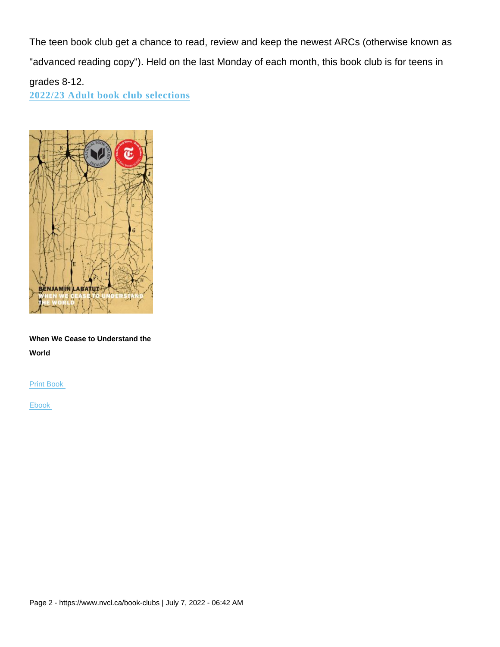The teen book club get a chance to read, review and keep the newest ARCs (otherwise known as "advanced reading copy"). Held on the last Monday of each month, this book club is for teens in grades 8-12. 2022/23 Adult book club selections

When We Cease to Understand the World

Print Book

Ebook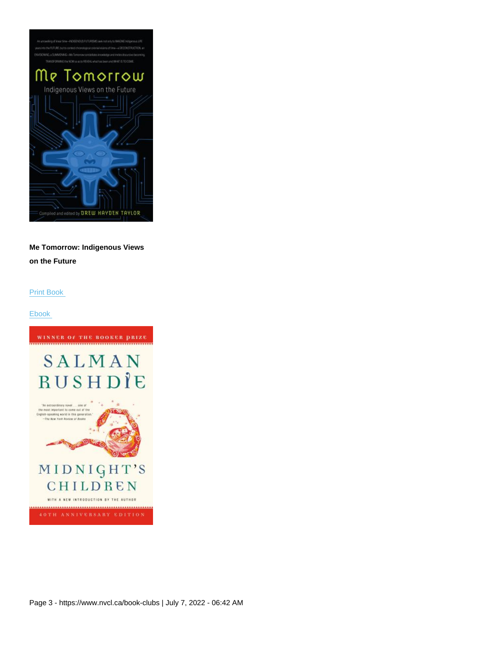Me Tomorrow: Indigenous Views on the Future

Print Book

Ebook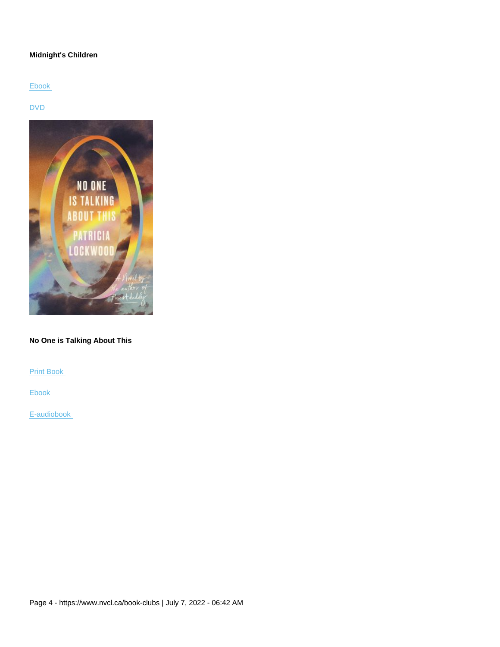#### Midnight's Children

Ebook

DVD

#### No One is Talking About This

Print Book

Ebook

E-audiobook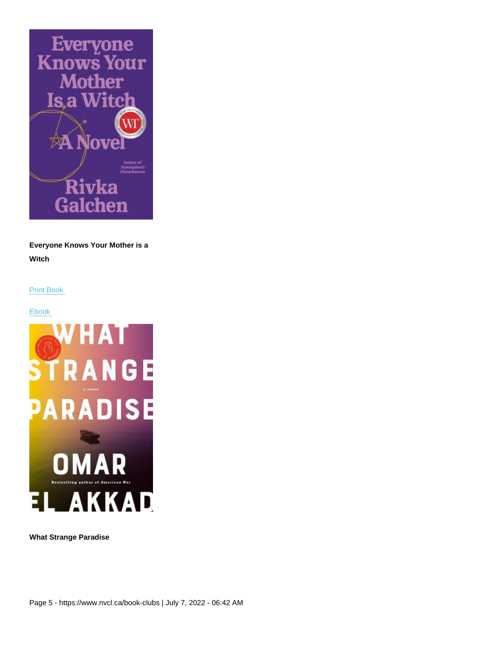Everyone Knows Your Mother is a Witch

Print Book

Ebook

What Strange Paradise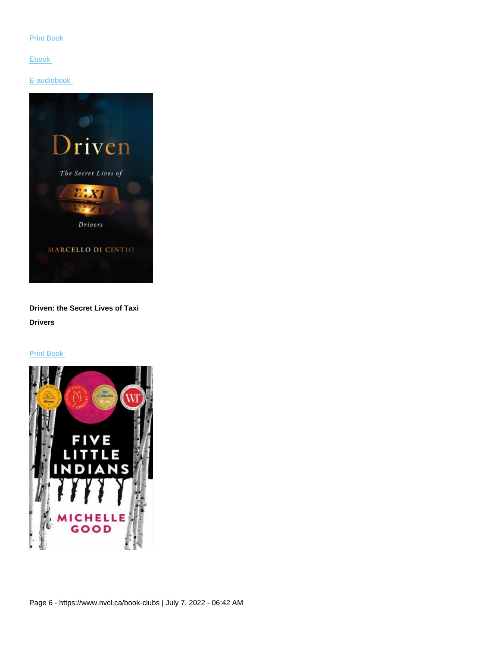Print Book

Ebook

E-audiobook

Driven: the Secret Lives of Taxi Drivers

Print Book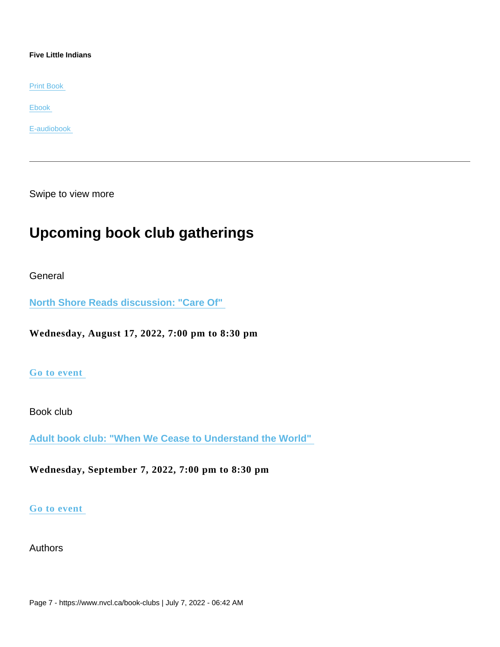Five Little Indians

Print Book

Ebook

E-audiobook

Swipe to view more

# Upcoming book club gatherings

General

[North Shore Reads discussion: "Care Of"](https://www.nvcl.ca/events/north-shore-reads-discussion-care) 

Wednesday, August 17, 2022, 7:00 pm to 8:30 pm

#### [Go to event](https://www.nvcl.ca/events/north-shore-reads-discussion-care)

Book club

[Adult book club: "When We Cease to Understand the World"](https://www.nvcl.ca/events/adult-book-club-when-we-cease-understand-world) 

Wednesday, September 7, 2022, 7:00 pm to 8:30 pm

#### [Go to event](https://www.nvcl.ca/events/adult-book-club-when-we-cease-understand-world)

Authors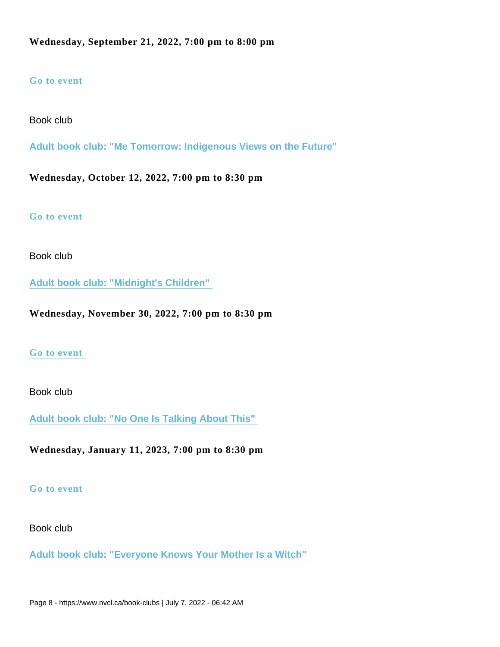# [Go to event](https://www.nvcl.ca/events/1591)

Book club

[Adult book club: "Me Tomorrow: Indigenous Views on the Future"](https://www.nvcl.ca/events/adult-book-club-me-tomorrow-indigenous-views-future) 

Wednesday, October 12, 2022, 7:00 pm to 8:30 pm

[Go to event](https://www.nvcl.ca/events/adult-book-club-me-tomorrow-indigenous-views-future) 

Book club

[Adult book club: "Midnight's Children"](https://www.nvcl.ca/events/adult-book-club-midnights-children) 

Wednesday, November 30, 2022, 7:00 pm to 8:30 pm

# [Go to event](https://www.nvcl.ca/events/adult-book-club-midnights-children)

# Book club

[Adult book club: "No One Is Talking About This"](https://www.nvcl.ca/events/adult-book-club-no-one-talking-about) 

Wednesday, January 11, 2023, 7:00 pm to 8:30 pm

#### [Go to event](https://www.nvcl.ca/events/adult-book-club-no-one-talking-about)

#### Book club

[Adult book club: "Everyone Knows Your Mother Is a Witch"](https://www.nvcl.ca/events/adult-book-club-everyone-knows-your-mother-witch)